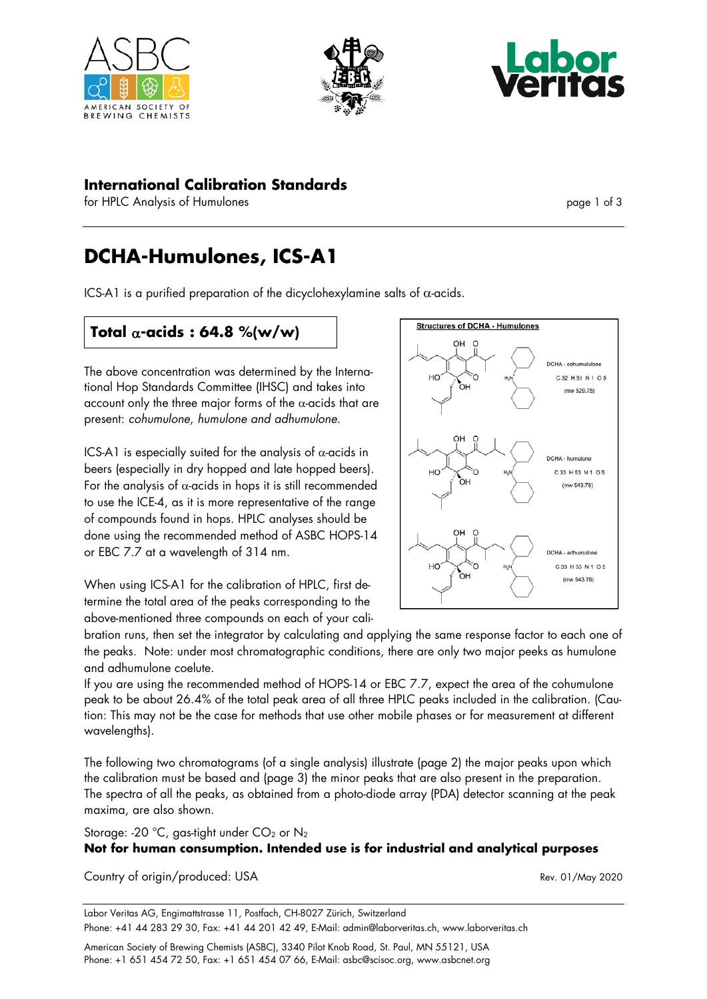





### **International Calibration Standards**

for HPLC Analysis of Humulones page 1 of 3

# **DCHA-Humulones, ICS-A1**

ICS-A1 is a purified preparation of the dicyclohexylamine salts of  $\alpha$ -acids.

# **Total** α**-acids : 64.8 %(w/w)**

The above concentration was determined by the International Hop Standards Committee (IHSC) and takes into account only the three major forms of the  $\alpha$ -acids that are present: *cohumulone, humulone and adhumulone*.

ICS-A1 is especially suited for the analysis of  $\alpha$ -acids in beers (especially in dry hopped and late hopped beers). For the analysis of  $\alpha$ -acids in hops it is still recommended to use the ICE-4, as it is more representative of the range of compounds found in hops. HPLC analyses should be done using the recommended method of ASBC HOPS-14 or EBC 7.7 at a wavelength of 314 nm.



When using ICS-A1 for the calibration of HPLC, first determine the total area of the peaks corresponding to the above-mentioned three compounds on each of your cali-

bration runs, then set the integrator by calculating and applying the same response factor to each one of the peaks. Note: under most chromatographic conditions, there are only two major peeks as humulone and adhumulone coelute.

If you are using the recommended method of HOPS-14 or EBC 7.7, expect the area of the cohumulone peak to be about 26.4% of the total peak area of all three HPLC peaks included in the calibration. (Caution: This may not be the case for methods that use other mobile phases or for measurement at different wavelengths).

The following two chromatograms (of a single analysis) illustrate (page 2) the major peaks upon which the calibration must be based and (page 3) the minor peaks that are also present in the preparation. The spectra of all the peaks, as obtained from a photo-diode array (PDA) detector scanning at the peak maxima, are also shown.

#### Storage: -20 °C, gas-tight under  $CO<sub>2</sub>$  or  $N<sub>2</sub>$

### **Not for human consumption. Intended use is for industrial and analytical purposes**

Country of origin/produced: USA Rev. 01/May 2020

Labor Veritas AG, Engimattstrasse 11, Postfach, CH-8027 Zürich, Switzerland Phone: +41 44 283 29 30, Fax: +41 44 201 42 49, E-Mail: admin@laborveritas.ch, www.laborveritas.ch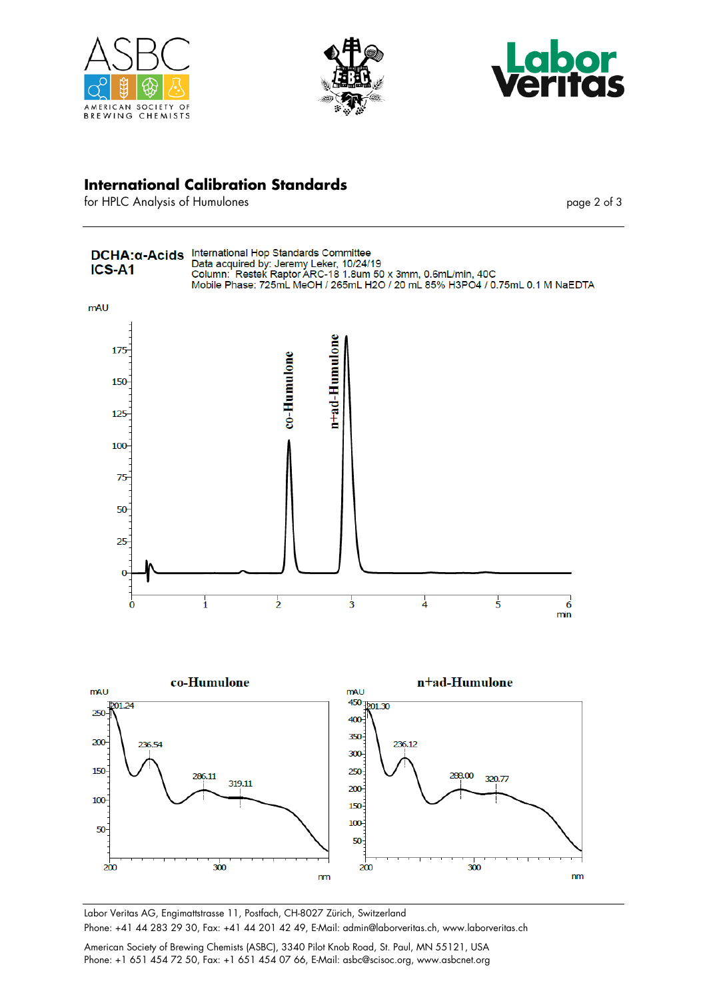





### **International Calibration Standards**

for HPLC Analysis of Humulones page 2 of 3



Labor Veritas AG, Engimattstrasse 11, Postfach, CH-8027 Zürich, Switzerland Phone: +41 44 283 29 30, Fax: +41 44 201 42 49, E-Mail: admin@laborveritas.ch, www.laborveritas.ch

American Society of Brewing Chemists (ASBC), 3340 Pilot Knob Road, St. Paul, MN 55121, USA Phone: +1 651 454 72 50, Fax: +1 651 454 07 66, E-Mail: asbc@scisoc.org, www.asbcnet.org